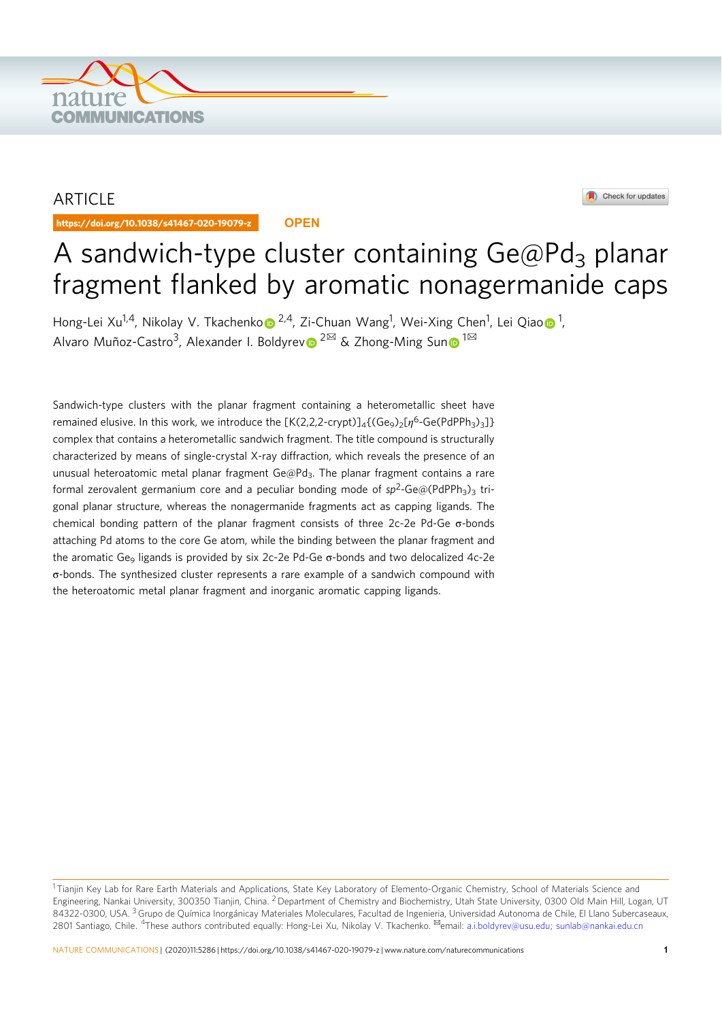

# ARTICLE

https://doi.org/10.1038/s41467-020-19079-z **OPEN**



# A sandwich-type cluster containing  $Ge@Pd<sub>3</sub>$  planar fragment flanked by aromatic nonagermanide caps

Hong-Lei Xu<sup>1,4</sup>, Nikolay V. Tkachenko⋒ <sup>2,4</sup>, Zi-Chuan Wang<sup>1</sup>, Wei-Xing Chen<sup>1</sup>, Lei Qiao⋒ <sup>1</sup>, Alvaro Muñoz-Castro<sup>3</sup>, Alexander I. Boldyrev <sup>2 $\boxtimes$ </sup> & Zhong-Ming Sun <sup>1 $\boxtimes$ </sup>

Sandwich-type clusters with the planar fragment containing a heterometallic sheet have remained elusive. In this work, we introduce the  $[K(2,2,2\text{-crypt})]_4$  (Ge<sub>9</sub>)<sub>2</sub>[ $n^6$ -Ge(PdPPh<sub>3</sub>)<sub>3</sub>]} complex that contains a heterometallic sandwich fragment. The title compound is structurally characterized by means of single-crystal X-ray diffraction, which reveals the presence of an unusual heteroatomic metal planar fragment  $Ge@Pd_3$ . The planar fragment contains a rare formal zerovalent germanium core and a peculiar bonding mode of  $sp^2$ -Ge@(PdPPh<sub>3</sub>)<sub>3</sub> trigonal planar structure, whereas the nonagermanide fragments act as capping ligands. The chemical bonding pattern of the planar fragment consists of three 2c-2e Pd-Ge σ-bonds attaching Pd atoms to the core Ge atom, while the binding between the planar fragment and the aromatic Ge $_{9}$  ligands is provided by six 2c-2e Pd-Ge  $\sigma$ -bonds and two delocalized 4c-2e σ-bonds. The synthesized cluster represents a rare example of a sandwich compound with the heteroatomic metal planar fragment and inorganic aromatic capping ligands.

<sup>&</sup>lt;sup>1</sup> Tianjin Key Lab for Rare Earth Materials and Applications, State Key Laboratory of Elemento-Organic Chemistry, School of Materials Science and Engineering, Nankai University, 300350 Tianjin, China. <sup>2</sup> Department of Chemistry and Biochemistry, Utah State University, 0300 Old Main Hill, Logan, UT 84322-0300, USA. <sup>3</sup> Grupo de Química Inorgánicay Materiales Moleculares, Facultad de Ingenieria, Universidad Autonoma de Chile, El Llano Subercaseaux, 2801 Santiago, Chile. <sup>4</sup>These authors contributed equally: Hong-Lei Xu, Nikolay V. Tkachenko. <sup>⊠</sup>email: a.i.boldyrev@usu.edu; sunlab@nankai.edu.cn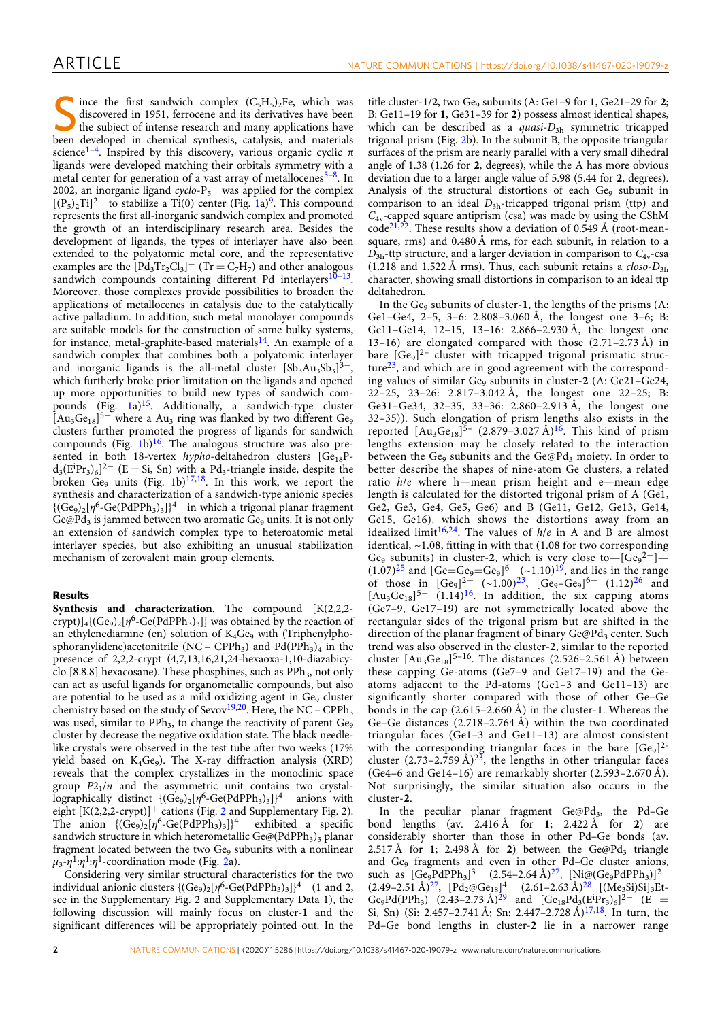Since the first sandwich complex  $(C_5H_5)_2$ Fe, which was discovered in 1951, ferrocene and its derivatives have been<br>the subject of intense research and many applications have<br>the subject of intense research and many appl discovered in 1951, ferrocene and its derivatives have been been developed in chemical synthesis, catalysis, and materials science<sup>1-4</sup>. Inspired by this discovery, various organic cyclic  $\pi$ ligands were developed matching their orbitals symmetry with a metal center for generation of a vast array of metallocenes<sup>5-8</sup>. In 2002, an inorganic ligand  $cyclo-P<sub>5</sub>$  was applied for the complex  $[(P<sub>5</sub>)<sub>2</sub>Ti]<sup>2–</sup>$  to stabilize a Ti(0) center (Fig. 1a)<sup>9</sup>. This compound represents the first all-inorganic sandwich complex and promoted the growth of an interdisciplinary research area. Besides the development of ligands, the types of interlayer have also been extended to the polyatomic metal core, and the representative examples are the  $[Pd_3Tr_2Cl_3]^-$  (Tr = C<sub>7</sub>H<sub>7</sub>) and other analogous sandwich compounds containing different Pd interlayers $10-13$ . Moreover, those complexes provide possibilities to broaden the applications of metallocenes in catalysis due to the catalytically active palladium. In addition, such metal monolayer compounds are suitable models for the construction of some bulky systems, for instance, metal-graphite-based materials $^{14}$ . An example of a sandwich complex that combines both a polyatomic interlayer and inorganic ligands is the all-metal cluster  $[Sb<sub>3</sub>Au<sub>3</sub>Sb<sub>3</sub>]$ <sup>3–</sup> which furtherly broke prior limitation on the ligands and opened up more opportunities to build new types of sandwich compounds  $(Fig. 1a)^{15}$ . Additionally, a sandwich-type cluster  $[Au<sub>3</sub>Ge<sub>18</sub>]<sup>5–</sup>$  where a Au<sub>3</sub> ring was flanked by two different Ge<sub>9</sub> clusters further promoted the progress of ligands for sandwich compounds (Fig. 1b) $^{16}$ . The analogous structure was also presented in both 18-vertex hypho-deltahedron clusters  $[Ge_{18}P$  $d_3(E^{i}Pr_3)_{6}]^{2-}$  (E = Si, Sn) with a Pd<sub>3</sub>-triangle inside, despite the broken  $Ge_9$  units (Fig. 1b)<sup>17,18</sup>. In this work, we report the synthesis and characterization of a sandwich-type anionic species  ${(Ge_9)_2}[\eta^6\text{-}Ge(PdPPh_3)_3]$ <sup>4-</sup> in which a trigonal planar fragment Ge@Pd<sub>3</sub> is jammed between two aromatic  $Ge_9$  units. It is not only an extension of sandwich complex type to heteroatomic metal interlayer species, but also exhibiting an unusual stabilization mechanism of zerovalent main group elements.

# Results

Synthesis and characterization. The compound [K(2,2,2crypt)]<sub>4</sub>{(Ge<sub>9</sub>)<sub>2</sub>[ $\eta^6$ -Ge(PdPPh<sub>3</sub>)<sub>3</sub>]} was obtained by the reaction of an ethylenediamine (en) solution of  $K_4Ge_9$  with (Triphenylphosphoranylidene)acetonitrile (NC – CPPh<sub>3</sub>) and Pd(PPh<sub>3</sub>)<sub>4</sub> in the presence of 2,2,2-crypt (4,7,13,16,21,24-hexaoxa-1,10-diazabicyclo [8.8.8] hexacosane). These phosphines, such as  $PPh_3$ , not only can act as useful ligands for organometallic compounds, but also are potential to be used as a mild oxidizing agent in Ge<sub>9</sub> cluster chemistry based on the study of Sevov<sup>19,20</sup>. Here, the NC – CPPh<sub>3</sub> was used, similar to  $PPh_3$ , to change the reactivity of parent  $Ge_9$ cluster by decrease the negative oxidation state. The black needlelike crystals were observed in the test tube after two weeks (17% yield based on  $K_4Ge_9$ ). The X-ray diffraction analysis (XRD) reveals that the complex crystallizes in the monoclinic space group  $P2_1/n$  and the asymmetric unit contains two crystallographically distinct  ${(Ge_9)_2[\eta^6\text{-}Ge(PdPPh_3)_3]}^{4-}$  anions with eight  $[K(2,2,2-crypt)]^+$  cations (Fig. 2 and Supplementary Fig. 2). The anion  ${[(Ge_9)_2[\eta^6-Ge(PdPPh_3)_3]}^{4-}$  exhibited a specific sandwich structure in which heterometallic Ge@(PdPPh<sub>3</sub>)<sub>3</sub> planar fragment located between the two Ge<sub>9</sub> subunits with a nonlinear  $\mu_3$ - $\eta$ <sup>1</sup>: $\eta$ <sup>1</sup>-coordination mode (Fig. 2a).

Considering very similar structural characteristics for the two individual anionic clusters  ${(Ge_9)_2}[\eta^6$ -Ge(PdPPh<sub>3</sub>)<sub>3</sub>] $]^{4-}$  (1 and 2, see in the Supplementary Fig. 2 and Supplementary Data 1), the following discussion will mainly focus on cluster-1 and the significant differences will be appropriately pointed out. In the

title cluster- $1/2$ , two Ge $_{9}$  subunits (A: Ge1-9 for 1, Ge21-29 for 2; B: Ge11–19 for 1, Ge31–39 for 2) possess almost identical shapes, which can be described as a *quasi-D*<sub>3h</sub> symmetric tricapped trigonal prism (Fig. 2b). In the subunit B, the opposite triangular surfaces of the prism are nearly parallel with a very small dihedral angle of 1.38 (1.26 for 2, degrees), while the A has more obvious deviation due to a larger angle value of 5.98 (5.44 for 2, degrees). Analysis of the structural distortions of each Ge<sub>9</sub> subunit in comparison to an ideal  $D_{3h}$ -tricapped trigonal prism (ttp) and  $C_{4v}$ -capped square antiprism (csa) was made by using the CShM  $code^{21,22}$ . These results show a deviation of 0.549 Å (root-meansquare, rms) and 0.480 Å rms, for each subunit, in relation to a  $D_{3h}$ -ttp structure, and a larger deviation in comparison to  $C_{4v}$ -csa (1.218 and 1.522 Å rms). Thus, each subunit retains a  $closo-D_{3h}$ character, showing small distortions in comparison to an ideal ttp deltahedron.

In the Ge $_9$  subunits of cluster-1, the lengths of the prisms (A: Ge1–Ge4, 2–5, 3–6: 2.808–3.060 Å, the longest one 3–6; B: Ge11–Ge14, 12–15, 13–16: 2.866–2.930 Å, the longest one 13–16) are elongated compared with those  $(2.71-2.73 \text{ Å})$  in bare  $[Ge_9]^{2-}$  cluster with tricapped trigonal prismatic structure<sup>23</sup>, and which are in good agreement with the corresponding values of similar  $Ge_9$  subunits in cluster-2 (A:  $Ge_21-Ge_24$ , 22–25, 23–26: 2.817–3.042 Å, the longest one 22–25; B: Ge31–Ge34, 32–35, 33–36: 2.860–2.913 Å, the longest one 32–35)). Such elongation of prism lengths also exists in the reported  $[Au_3Ge_{18}]^{5}$  (2.879–3.027 Å)<sup>16</sup>. This kind of prism lengths extension may be closely related to the interaction between the Ge<sub>9</sub> subunits and the Ge@Pd<sub>3</sub> moiety. In order to better describe the shapes of nine-atom Ge clusters, a related ratio h/e where h—mean prism height and e—mean edge length is calculated for the distorted trigonal prism of A (Ge1, Ge2, Ge3, Ge4, Ge5, Ge6) and B (Ge11, Ge12, Ge13, Ge14, Ge15, Ge16), which shows the distortions away from an idealized limit<sup>16,24</sup>. The values of  $h/e$  in A and B are almost identical, ~1.08, fitting in with that (1.08 for two corresponding Ge<sub>9</sub> subunits) in cluster-2, which is very close to- $[Ge_9^{2-}]$  $(1.07)^{25}$  and  $[Ge = Ge_9 = Ge_9]^{6-}$  (~1.10)<sup>19</sup>, and lies in the range of those in  $[Ge_9]^{2-}$  (~1.00)<sup>23</sup>,  $[Ge_9 - Ge_9]^{6-}$  (1.12)<sup>26</sup> and [Au<sub>3</sub>Ge<sub>18</sub>]<sup>5−</sup> (1.14)<sup>16</sup>. In addition, the six capping atoms (Ge7–9, Ge17–19) are not symmetrically located above the rectangular sides of the trigonal prism but are shifted in the direction of the planar fragment of binary  $Ge@Pd_3$  center. Such trend was also observed in the cluster-2, similar to the reported cluster  $[Au_3Ge_{18}]^{5-16}$ . The distances (2.526–2.561 Å) between these capping Ge-atoms (Ge7–9 and Ge17–19) and the Geatoms adjacent to the Pd-atoms (Ge1–3 and Ge11–13) are significantly shorter compared with those of other Ge–Ge bonds in the cap  $(2.615-2.660 \text{ Å})$  in the cluster-1. Whereas the Ge–Ge distances (2.718–2.764 Å) within the two coordinated triangular faces (Ge1–3 and Ge11–13) are almost consistent with the corresponding triangular faces in the bare  $[Ge_9]^{2-}$ cluster  $(2.73-2.759 \text{ Å})^{2\overline{3}}$ , the lengths in other triangular faces (Ge4–6 and Ge14–16) are remarkably shorter (2.593–2.670 Å). Not surprisingly, the similar situation also occurs in the cluster-2.

In the peculiar planar fragment  $Ge@Pd_3$ , the Pd–Ge bond lengths (av.  $2.416 \text{ Å}$  for 1;  $2.422 \text{ Å}$  for 2) are considerably shorter than those in other Pd–Ge bonds (av. 2.517 Å for 1; 2.498 Å for 2) between the Ge@Pd<sub>3</sub> triangle and Ge<sub>9</sub> fragments and even in other Pd–Ge cluster anions, such as  $[Ge_9PdPPh_3]^{3-}$  (2.54–2.64 Å)<sup>27</sup>,  $[Ni@(Ge_9PdPPh_3)]^{2-}$  $(2.49-2.51 \text{ Å})^{27}$ ,  $[\text{Pd}_{2} @ \text{Ge}_{18}]^{4-}$   $(2.61-2.63 \text{ Å})^{28}$   $[(\text{Me}_{3}\text{Si})\text{Si}]_{3}\text{Et}$ Ge<sub>9</sub>Pd(PPh<sub>3</sub>) (2.43–2.73 Å)<sup>29</sup> and  $[Ge_{18}Pd_3(E^{i}Pr_3)_6]^{2-}$  (E = Si, Sn) (Si: 2.457–2.741 Å; Sn: 2.447–2.728 Å)<sup>17,18</sup>. In turn, the Pd–Ge bond lengths in cluster-2 lie in a narrower range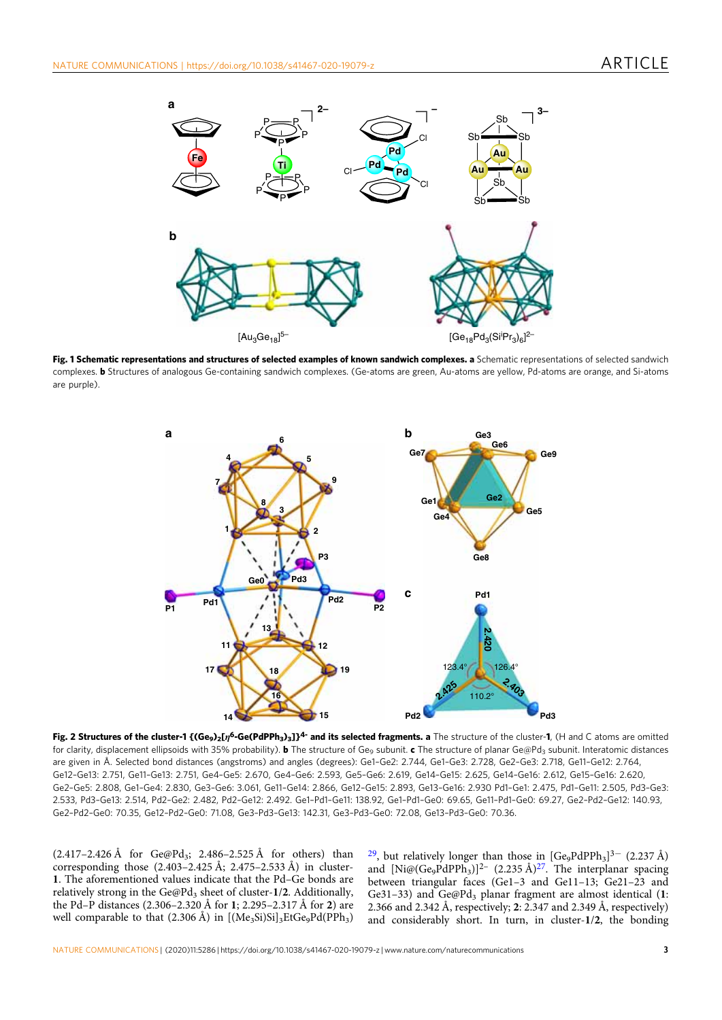

Fig. 1 Schematic representations and structures of selected examples of known sandwich complexes. a Schematic representations of selected sandwich complexes. **b** Structures of analogous Ge-containing sandwich complexes. (Ge-atoms are green, Au-atoms are yellow, Pd-atoms are orange, and Si-atoms are purple).



Fig. 2 Structures of the cluster-1 {(Ge<sub>9</sub>)<sub>2</sub>[ $\eta$ <sup>6</sup>-Ge(PdPPh<sub>3</sub>)<sub>3</sub>]}<sup>4-</sup> and its selected fragments. a The structure of the cluster-1, (H and C atoms are omitted for clarity, displacement ellipsoids with 35% probability). **b** The structure of Ge<sub>9</sub> subunit. c The structure of planar Ge@Pd<sub>3</sub> subunit. Interatomic distances are given in Å. Selected bond distances (angstroms) and angles (degrees): Ge1–Ge2: 2.744, Ge1–Ge3: 2.728, Ge2–Ge3: 2.718, Ge11–Ge12: 2.764, Ge12–Ge13: 2.751, Ge11–Ge13: 2.751, Ge4–Ge5: 2.670, Ge4–Ge6: 2.593, Ge5–Ge6: 2.619, Ge14–Ge15: 2.625, Ge14–Ge16: 2.612, Ge15–Ge16: 2.620, Ge2–Ge5: 2.808, Ge1–Ge4: 2.830, Ge3–Ge6: 3.061, Ge11–Ge14: 2.866, Ge12–Ge15: 2.893, Ge13–Ge16: 2.930 Pd1–Ge1: 2.475, Pd1–Ge11: 2.505, Pd3–Ge3: 2.533, Pd3–Ge13: 2.514, Pd2–Ge2: 2.482, Pd2–Ge12: 2.492. Ge1–Pd1–Ge11: 138.92, Ge1–Pd1–Ge0: 69.65, Ge11–Pd1–Ge0: 69.27, Ge2–Pd2–Ge12: 140.93, Ge2–Pd2–Ge0: 70.35, Ge12–Pd2–Ge0: 71.08, Ge3–Pd3–Ge13: 142.31, Ge3–Pd3–Ge0: 72.08, Ge13–Pd3–Ge0: 70.36.

(2.417–2.426 Å for Ge@Pd<sub>3</sub>; 2.486–2.525 Å for others) than corresponding those  $(2.403-2.425 \text{ Å}; 2.475-2.533 \text{ Å})$  in cluster-1. The aforementioned values indicate that the Pd–Ge bonds are relatively strong in the Ge@Pd<sub>3</sub> sheet of cluster-1/2. Additionally, the Pd–P distances (2.306–2.320 Å for 1; 2.295–2.317 Å for 2) are well comparable to that  $(2.306 \text{ Å})$  in  $[(Me<sub>3</sub>Si)Si]<sub>3</sub>EtGe<sub>9</sub>Pd(PPh<sub>3</sub>)$ 

<sup>29</sup>, but relatively longer than those in  $[Ge_9PdPPh_3]^{3-}$  (2.237 Å) and  $[Ni@(Ge_9PdPPh_3)]^2$  (2.235 Å)<sup>27</sup>. The interplanar spacing between triangular faces (Ge1–3 and Ge11–13; Ge21–23 and Ge31-33) and  $Ge@Pd_3$  planar fragment are almost identical (1: 2.366 and 2.342 Å, respectively; 2: 2.347 and 2.349 Å, respectively) and considerably short. In turn, in cluster-1/2, the bonding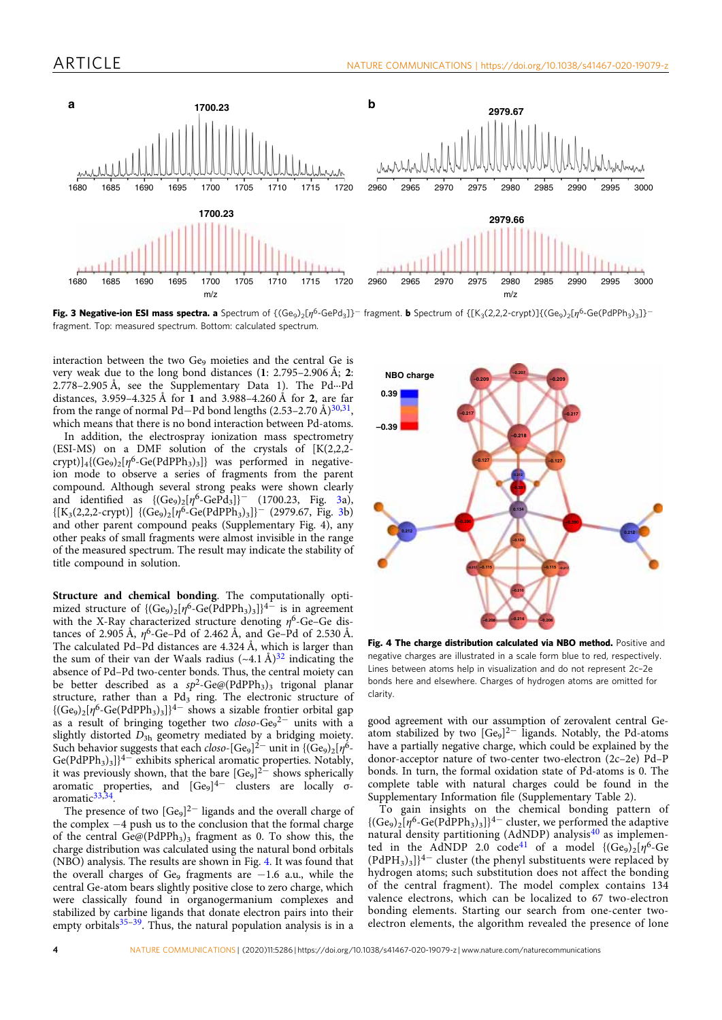

Fig. 3 Negative-ion ESI mass spectra. a Spectrum of  $\{(\text{Ge}_9)_2[n^6\text{-}GePd_3]\}^-$  fragment. b Spectrum of  $\{[K_3(2,2,2\text{-}crypt)]\{(\text{Ge}_9)_2[n^6\text{-}Ge(PdPh_3)_3]\}^$ fragment. Top: measured spectrum. Bottom: calculated spectrum.

interaction between the two Ge<sub>9</sub> moieties and the central Ge is very weak due to the long bond distances (1: 2.795–2.906 Å; 2: 2.778–2.905 Å, see the Supplementary Data 1). The Pd···Pd distances, 3.959–4.325 Å for 1 and 3.988–4.260 Å for 2, are far from the range of normal Pd–Pd bond lengths  $(2.53-2.70 \text{ Å})^{30,31}$ , which means that there is no bond interaction between Pd-atoms.

In addition, the electrospray ionization mass spectrometry (ESI-MS) on a DMF solution of the crystals of  $[K(2,2,2-1)]$  $\text{crypt}\left(\left\{\text{Ge}_9\right\}_2\left[\eta^6\text{-}\text{Ge}(\text{PdPPh}_3)_3\right]\right\}$  was performed in negativeion mode to observe a series of fragments from the parent compound. Although several strong peaks were shown clearly and identified as  ${(Ge_9)_2[\eta^6-GePd_3]}^-$  (1700.23, Fig. 3a),  ${[K_3(2,2,2-crypt)] \{({\text{Ge}}_9)_2[\eta^6\text{-}{\text{Ge}}(PdPPh_3)_3]\}^- \text{ (2979.67, Fig. 3b)}$ and other parent compound peaks (Supplementary Fig. 4), any other peaks of small fragments were almost invisible in the range of the measured spectrum. The result may indicate the stability of title compound in solution.

Structure and chemical bonding. The computationally optimized structure of  ${ (Ge_9)_2[\eta^6\text{-}Ge(PdPPh_3)_3]}^{4-}$  is in agreement with the X-Ray characterized structure denoting  $\eta^6$ -Ge–Ge distances of 2.905 Å,  $\eta^6$ -Ge–Pd of 2.462 Å, and Ge–Pd of 2.530 Å. The calculated Pd–Pd distances are 4.324 Å, which is larger than the sum of their van der Waals radius  $({\sim}4.1 \text{ Å})^{32}$  indicating the absence of Pd–Pd two-center bonds. Thus, the central moiety can be better described as a  $sp^2$ -Ge@(PdPPh<sub>3</sub>)<sub>3</sub> trigonal planar structure, rather than a  $Pd_3$  ring. The electronic structure of  ${(Ge_9)_2}[\eta^6$ -Ge(PdPPh<sub>3</sub>)<sub>3</sub>]}<sup>4-</sup> shows a sizable frontier orbital gap as a result of bringing together two  $closo-Ge<sub>9</sub><sup>2-</sup>$  units with a slightly distorted  $D_{3\mathrm{h}}$  geometry mediated by a bridging moiety. Such behavior suggests that each *closo*-[Ge<sub>9</sub>]<sup>2–</sup> unit in {(Ge<sub>9</sub>)<sub>2</sub>[ $\eta$ <sup>6</sup>- $Ge(PdPPh<sub>3</sub>)<sub>3</sub>$ ]<sup>4−</sup> exhibits spherical aromatic properties. Notably, it was previously shown, that the bare  $[Ge_9]^{2-}$  shows spherically aromatic properties, and [Ge<sub>9</sub>]<sup>4−</sup> clusters are locally σaromatic<sup>33,34</sup>.

The presence of two [Ge<sub>9</sub>]<sup>2−</sup> ligands and the overall charge of the complex −4 push us to the conclusion that the formal charge of the central  $Ge@(PdPPh<sub>3</sub>)<sub>3</sub>$  fragment as 0. To show this, the charge distribution was calculated using the natural bond orbitals (NBO) analysis. The results are shown in Fig. 4. It was found that the overall charges of Ge9 fragments are  $-1.6$  a.u., while the central Ge-atom bears slightly positive close to zero charge, which were classically found in organogermanium complexes and stabilized by carbine ligands that donate electron pairs into their empty orbitals<sup>35-39</sup>. Thus, the natural population analysis is in a



Fig. 4 The charge distribution calculated via NBO method. Positive and negative charges are illustrated in a scale form blue to red, respectively. Lines between atoms help in visualization and do not represent 2c–2e bonds here and elsewhere. Charges of hydrogen atoms are omitted for clarity.

good agreement with our assumption of zerovalent central Geatom stabilized by two  $[Ge<sub>9</sub>]$ <sup>2-</sup> ligands. Notably, the Pd-atoms have a partially negative charge, which could be explained by the donor-acceptor nature of two-center two-electron (2c–2e) Pd–P bonds. In turn, the formal oxidation state of Pd-atoms is 0. The complete table with natural charges could be found in the Supplementary Information file (Supplementary Table 2).

To gain insights on the chemical bonding pattern of  ${({\rm Ge}_9)_2}[{\eta^6\text{-}{\rm Ge}({\rm PdPPh}_3)_3}]^{4-}$  cluster, we performed the adaptive natural density partitioning (AdNDP) analysis<sup>40</sup> as implemented in the AdNDP 2.0 code<sup>41</sup> of a model  $\{(\text{Ge}_9)_2[\eta^6-\text{Ge}]\}$  $(PdPH<sub>3</sub>)<sub>3</sub>$ ]<sup>4−</sup> cluster (the phenyl substituents were replaced by hydrogen atoms; such substitution does not affect the bonding of the central fragment). The model complex contains 134 valence electrons, which can be localized to 67 two-electron bonding elements. Starting our search from one-center twoelectron elements, the algorithm revealed the presence of lone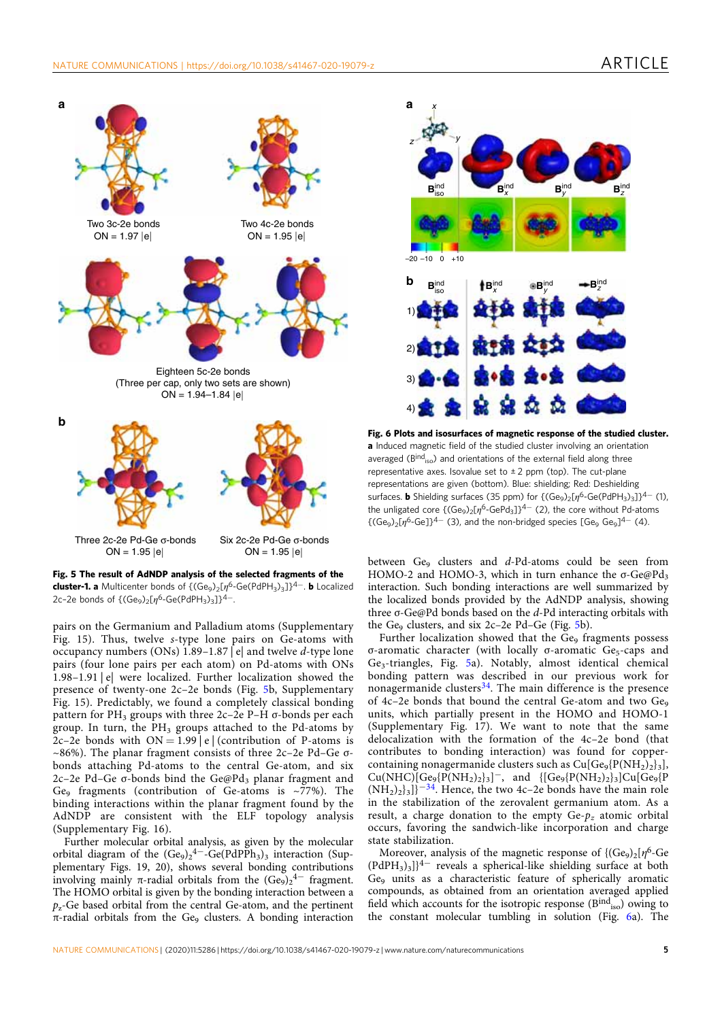

Fig. 5 The result of AdNDP analysis of the selected fragments of the cluster-1. a Multicenter bonds of  ${({\rm Ge}_9)_2[\eta^6\text{-}{\rm Ge}({\rm PdPH}_3)_3]}\lambda^{4-}$ . b Localized 2c-2e bonds of  $\{({\rm Ge}_9)_2[n^6\text{-}{\rm Ge}({\rm PdPH}_3)_3]\}^{4-}.$ 

pairs on the Germanium and Palladium atoms (Supplementary Fig. 15). Thus, twelve s-type lone pairs on Ge-atoms with occupancy numbers (ONs) 1.89–1.87 | e| and twelve d-type lone pairs (four lone pairs per each atom) on Pd-atoms with ONs 1.98–1.91 | e| were localized. Further localization showed the presence of twenty-one 2c–2e bonds (Fig. 5b, Supplementary Fig. 15). Predictably, we found a completely classical bonding pattern for PH<sub>3</sub> groups with three  $2c-2e$  P–H  $\sigma$ -bonds per each group. In turn, the  $PH_3$  groups attached to the Pd-atoms by 2c–2e bonds with  $ON = 1.99$  e (contribution of P-atoms is  $\sim$ 86%). The planar fragment consists of three 2c–2e Pd–Ge  $\sigma$ bonds attaching Pd-atoms to the central Ge-atom, and six 2c–2e Pd–Ge  $\sigma$ -bonds bind the Ge@Pd<sub>3</sub> planar fragment and Ge<sub>9</sub> fragments (contribution of Ge-atoms is  $\sim$ 77%). The binding interactions within the planar fragment found by the AdNDP are consistent with the ELF topology analysis (Supplementary Fig. 16).

Further molecular orbital analysis, as given by the molecular orbital diagram of the  $(Ge_9)_2^4$ <sup>-</sup>-Ge(PdPPh<sub>3</sub>)<sub>3</sub> interaction (Supplementary Figs. 19, 20), shows several bonding contributions involving mainly  $\pi$ -radial orbitals from the  $(Ge_9)_2^4$ <sup>-</sup> fragment. The HOMO orbital is given by the bonding interaction between a  $p<sub>z</sub>$ -Ge based orbital from the central Ge-atom, and the pertinent  $\pi$ -radial orbitals from the Ge<sub>9</sub> clusters. A bonding interaction



Fig. 6 Plots and isosurfaces of magnetic response of the studied cluster. a Induced magnetic field of the studied cluster involving an orientation averaged ( $B<sup>ind</sup>_{iso}$ ) and orientations of the external field along three representative axes. Isovalue set to  $\pm 2$  ppm (top). The cut-plane representations are given (bottom). Blue: shielding; Red: Deshielding surfaces. **b** Shielding surfaces (35 ppm) for  $\{(Ge_9)_2[n^6-Ge(PdPH_3)_3]\}^{4-}$  (1), the unligated core  $\{(\text{Ge}_9)_2[n^6\text{-}GePd_3]\}^{4-}$  (2), the core without Pd-atoms  ${({\text{Ge}_9})_2}$ [ $\eta$ <sup>6</sup>-Ge]}<sup>4–</sup> (3), and the non-bridged species [Ge<sub>9</sub> Ge<sub>9</sub>]<sup>4–</sup> (4).

between  $Ge_9$  clusters and d-Pd-atoms could be seen from HOMO-2 and HOMO-3, which in turn enhance the  $\sigma$ -Ge@Pd<sub>3</sub> interaction. Such bonding interactions are well summarized by the localized bonds provided by the AdNDP analysis, showing three σ-Ge@Pd bonds based on the d-Pd interacting orbitals with the Ge $_{9}$  clusters, and six 2c–2e Pd–Ge (Fig. 5b).

Further localization showed that the  $Ge<sub>9</sub>$  fragments possess σ-aromatic character (with locally σ-aromatic Ge<sub>5</sub>-caps and Ge3-triangles, Fig. 5a). Notably, almost identical chemical bonding pattern was described in our previous work for nonagermanide clusters $34$ . The main difference is the presence of 4c-2e bonds that bound the central Ge-atom and two Ge9 units, which partially present in the HOMO and HOMO-1 (Supplementary Fig. 17). We want to note that the same delocalization with the formation of the 4c–2e bond (that contributes to bonding interaction) was found for coppercontaining nonagermanide clusters such as  $Cu[Ge_9{P(NH_2)}_3]$ ,  $Cu(NHC)[Ge_9{P(NH_2)_2}_3]^-$ , and  $[{Ge_9{P(NH_2)_2}_3}_2Cu[Ge_9{P(NH_2)_2}_3]$  $(NH<sub>2</sub>)<sub>2</sub>$ <sub>3</sub>]}<sup>−34</sup>. Hence, the two 4c–2e bonds have the main role in the stabilization of the zerovalent germanium atom. As a result, a charge donation to the empty  $Ge-p_z$  atomic orbital occurs, favoring the sandwich-like incorporation and charge state stabilization.

Moreover, analysis of the magnetic response of  $\{(Ge_9)_2 | \eta^6 - Ge_9\}$ (PdPH3)3]}4<sup>−</sup> reveals a spherical-like shielding surface at both Ge9 units as a characteristic feature of spherically aromatic compounds, as obtained from an orientation averaged applied field which accounts for the isotropic response  $(B<sup>ind</sup><sub>iso</sub>)$  owing to the constant molecular tumbling in solution (Fig. 6a). The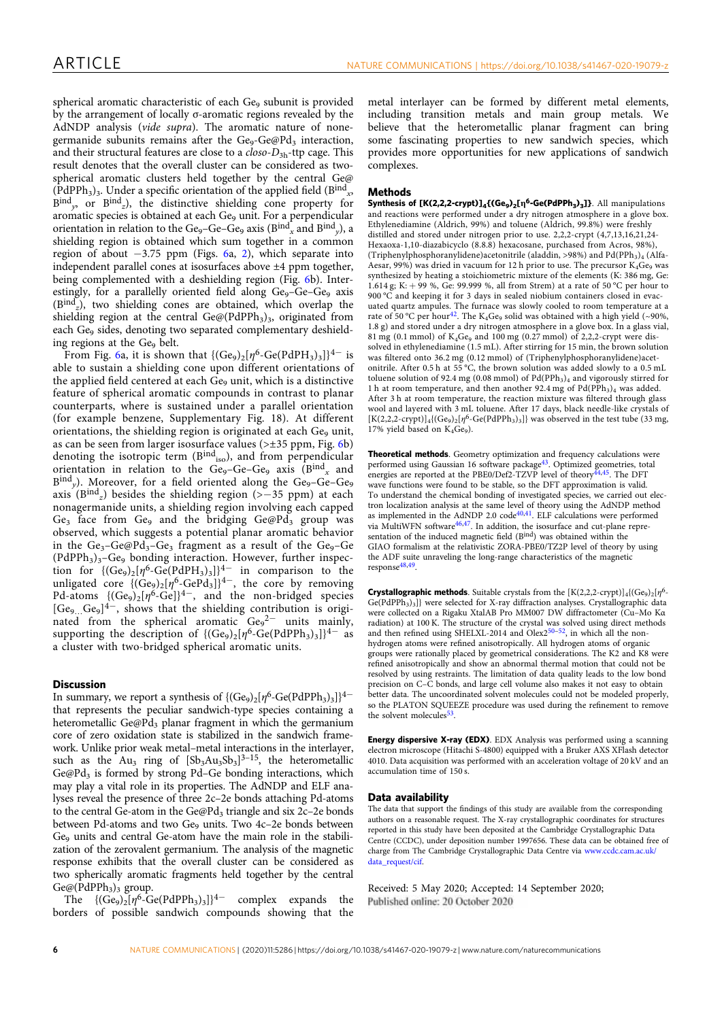spherical aromatic characteristic of each Ge<sub>9</sub> subunit is provided by the arrangement of locally σ-aromatic regions revealed by the AdNDP analysis (vide supra). The aromatic nature of nonegermanide subunits remains after the  $Ge_9 - Ge_9Pd_3$  interaction, and their structural features are close to a  $closo-D_{3h}$ -ttp cage. This result denotes that the overall cluster can be considered as twospherical aromatic clusters held together by the central Ge@  $(PdPPh<sub>3</sub>)<sub>3</sub>$ . Under a specific orientation of the applied field (B<sup>ind</sup><sub>x</sub>,  $B^{ind}_{v}$ , or  $B^{ind}_{z}$ ), the distinctive shielding cone property for aromatic species is obtained at each Ge<sub>9</sub> unit. For a perpendicular orientation in relation to the Ge<sub>9</sub>–Ge–Ge<sub>9</sub> axis ( $B^{ind}_x$  and  $B^{ind}_v$ ), a shielding region is obtained which sum together in a common region of about −3.75 ppm (Figs. 6a, 2), which separate into independent parallel cones at isosurfaces above ±4 ppm together, being complemented with a deshielding region (Fig. 6b). Interestingly, for a parallelly oriented field along  $Ge_9 - Ge - Ge_9$  axis  $(B<sup>ind</sup><sub>z</sub>)$ , two shielding cones are obtained, which overlap the shielding region at the central  $Ge@(PdPPh<sub>3</sub>)<sub>3</sub>$ , originated from each Ge<sub>9</sub> sides, denoting two separated complementary deshielding regions at the  $Ge_9$  belt.

From Fig. 6a, it is shown that  ${(Ge_9)_2[\eta^6-Ge(PdPH_3)_3]}^{4-}$  is able to sustain a shielding cone upon different orientations of the applied field centered at each Ge<sub>9</sub> unit, which is a distinctive feature of spherical aromatic compounds in contrast to planar counterparts, where is sustained under a parallel orientation (for example benzene, Supplementary Fig. 18). At different orientations, the shielding region is originated at each Ge<sub>9</sub> unit, as can be seen from larger isosurface values ( $> \pm 35$  ppm, Fig. 6b) denoting the isotropic term  $(B<sup>ind</sup><sub>iso</sub>)$ , and from perpendicular orientation in relation to the  $Ge_9-Ge-Ge_9$  axis (Bind<sub>x</sub> and  $B_{\text{ind}}$ ,). Moreover, for a field oriented along the Ge<sub>9</sub>-Ge-Ge<sub>9</sub> axis (Bind<sub>z</sub>) besides the shielding region (>-35 ppm) at each nonagermanide units, a shielding region involving each capped Ge<sub>3</sub> face from Ge<sub>9</sub> and the bridging Ge@Pd<sub>3</sub> group was observed, which suggests a potential planar aromatic behavior in the Ge<sub>3</sub>–Ge@Pd<sub>3</sub>–Ge<sub>3</sub> fragment as a result of the Ge<sub>9</sub>–Ge  $(PdPPh<sub>3</sub>)<sub>3</sub>$ –Ge $_{9}$  bonding interaction. However, further inspection for  ${({\rm Ge}_9)_2}[\eta^6\text{-}{\rm Ge}(\text{PdPH}_3)_3]]^{4-}$  in comparison to the unligated core  ${({\rm Ge}_9)_2}[\eta^6\text{-}{\rm GePd}_3]]^{4-}$ , the core by removing Pd-atoms  ${(Ge_9)_2}[\eta^6-Ge]]^{4-}$ , and the non-bridged species [Ge<sub>9…</sub>Ge<sub>9</sub>]<sup>4−</sup>, shows that the shielding contribution is originated from the spherical aromatic  $Ge_9^2$ <sup>-</sup> units mainly, supporting the description of  ${(Ge_9)_2[\eta^6\text{-}Ge(PdPPh_3)_3]}^{4-}$  as a cluster with two-bridged spherical aromatic units.

# **Discussion**

In summary, we report a synthesis of  ${(Ge_9)_2[\eta^6\text{-}Ge(PdPPh_3)_3]}^{4-}$ that represents the peculiar sandwich-type species containing a heterometallic Ge@Pd<sub>3</sub> planar fragment in which the germanium core of zero oxidation state is stabilized in the sandwich framework. Unlike prior weak metal–metal interactions in the interlayer, such as the Au<sub>3</sub> ring of  $[Sb<sub>3</sub>Au<sub>3</sub>Sb<sub>3</sub>]^{3-15}$ , the heterometallic Ge@Pd<sub>3</sub> is formed by strong Pd–Ge bonding interactions, which may play a vital role in its properties. The AdNDP and ELF analyses reveal the presence of three 2c–2e bonds attaching Pd-atoms to the central Ge-atom in the Ge@Pd<sub>3</sub> triangle and six  $2c-2e$  bonds between Pd-atoms and two Ge $_9$  units. Two 4c-2e bonds between Ge<sub>9</sub> units and central Ge-atom have the main role in the stabilization of the zerovalent germanium. The analysis of the magnetic response exhibits that the overall cluster can be considered as two spherically aromatic fragments held together by the central  $Ge@(PdPPh<sub>3</sub>)<sub>3</sub>$  group.

The  $\{(\text{Ge}_9)_2[\eta^6\text{-}\text{Ge}(\text{PdPPh}_3)_3]\}^{4-}$  complex expands the borders of possible sandwich compounds showing that the

metal interlayer can be formed by different metal elements, including transition metals and main group metals. We believe that the heterometallic planar fragment can bring some fascinating properties to new sandwich species, which provides more opportunities for new applications of sandwich complexes.

#### **Methods**

Synthesis of [K(2,2,2-crypt)]<sub>4</sub>{(Ge<sub>9</sub>)<sub>2</sub>[η<sup>6</sup>-Ge(PdPPh<sub>3</sub>)<sub>3</sub>]}. All manipulations and reactions were performed under a dry nitrogen atmosphere in a glove box. Ethylenediamine (Aldrich, 99%) and toluene (Aldrich, 99.8%) were freshly distilled and stored under nitrogen prior to use. 2,2,2-crypt (4,7,13,16,21,24- Hexaoxa-1,10-diazabicyclo (8.8.8) hexacosane, purchased from Acros, 98%), (Triphenylphosphoranylidene)acetonitrile (aladdin, >98%) and Pd(PPh<sub>3)4</sub> (Alfa-Aesar, 99%) was dried in vacuum for 12 h prior to use. The precursor  $K_4Ge_9$  was synthesized by heating a stoichiometric mixture of the elements (K: 386 mg, Ge: 1.614 g; K: + 99 %, Ge: 99.999 %, all from Strem) at a rate of 50 °C per hour to 900 °C and keeping it for 3 days in sealed niobium containers closed in evacuated quartz ampules. The furnace was slowly cooled to room temperature at a rate of 50 °C per hour<sup>42</sup>. The K<sub>4</sub>Ge<sub>9</sub> solid was obtained with a high yield (~90%, 1.8 g) and stored under a dry nitrogen atmosphere in a glove box. In a glass vial, 81 mg (0.1 mmol) of  $K_4Ge_9$  and 100 mg (0.27 mmol) of 2,2,2-crypt were dissolved in ethylenediamine (1.5 mL). After stirring for 15 min, the brown solution was filtered onto 36.2 mg (0.12 mmol) of (Triphenylphosphoranylidene)acetonitrile. After 0.5 h at 55 °C, the brown solution was added slowly to a 0.5 mL toluene solution of 92.4 mg (0.08 mmol) of  $Pd(PPh<sub>3</sub>)<sub>4</sub>$  and vigorously stirred for 1 h at room temperature, and then another 92.4 mg of  $Pd(PPh<sub>3</sub>)<sub>4</sub>$  was added. After 3 h at room temperature, the reaction mixture was filtered through glass wool and layered with 3 mL toluene. After 17 days, black needle-like crystals of  $[K(2,2,2-\text{crypt})]_4\{(Ge_9)_2[\eta^6-{\rm Ge}({\rm PdPPh}_3)_3]\}$  was observed in the test tube (33 mg,  $17\%$  yield based on  $K_4Ge_9$ ).

Theoretical methods. Geometry optimization and frequency calculations were performed using Gaussian 16 software package<sup>43</sup>. Optimized geometries, total energies are reported at the PBE0/Def2-TZVP level of theory<sup>44,45</sup>. The DFT wave functions were found to be stable, so the DFT approximation is valid. To understand the chemical bonding of investigated species, we carried out electron localization analysis at the same level of theory using the AdNDP method as implemented in the AdNDP 2.0  $\text{code}^{40,41}$ . ELF calculations were performed via MultiWFN software<sup>46,47</sup>. In addition, the isosurface and cut-plane representation of the induced magnetic field (Bind) was obtained within the GIAO formalism at the relativistic ZORA-PBE0/TZ2P level of theory by using the ADF suite unraveling the long-range characteristics of the magnetic response<sup>48,49</sup>.

**Crystallographic methods.** Suitable crystals from the  $[K(2,2,2\text{-crypt})]_4$ { $(Ge_9)_2[n^6 Ge(PdPPh<sub>3</sub>)<sub>3</sub>$ } were selected for X-ray diffraction analyses. Crystallographic data were collected on a Rigaku XtalAB Pro MM007 DW diffractometer (Cu–Mo Kα radiation) at 100 K. The structure of the crystal was solved using direct methods and then refined using SHELXL-2014 and  $Olex2^{50-52}$ , in which all the nonhydrogen atoms were refined anisotropically. All hydrogen atoms of organic groups were rationally placed by geometrical considerations. The K2 and K8 were refined anisotropically and show an abnormal thermal motion that could not be resolved by using restraints. The limitation of data quality leads to the low bond precision on C–C bonds, and large cell volume also makes it not easy to obtain better data. The uncoordinated solvent molecules could not be modeled properly, so the PLATON SQUEEZE procedure was used during the refinement to remove the solvent molecules $53$ .

Energy dispersive X-ray (EDX). EDX Analysis was performed using a scanning electron microscope (Hitachi S-4800) equipped with a Bruker AXS XFlash detector 4010. Data acquisition was performed with an acceleration voltage of 20 kV and an accumulation time of 150 s.

#### Data availability

The data that support the findings of this study are available from the corresponding authors on a reasonable request. The X-ray crystallographic coordinates for structures reported in this study have been deposited at the Cambridge Crystallographic Data Centre (CCDC), under deposition number 1997656. These data can be obtained free of charge from The Cambridge Crystallographic Data Centre via www.ccdc.cam.ac.uk/ data\_request/cif.

Received: 5 May 2020; Accepted: 14 September 2020; Published online: 20 October 2020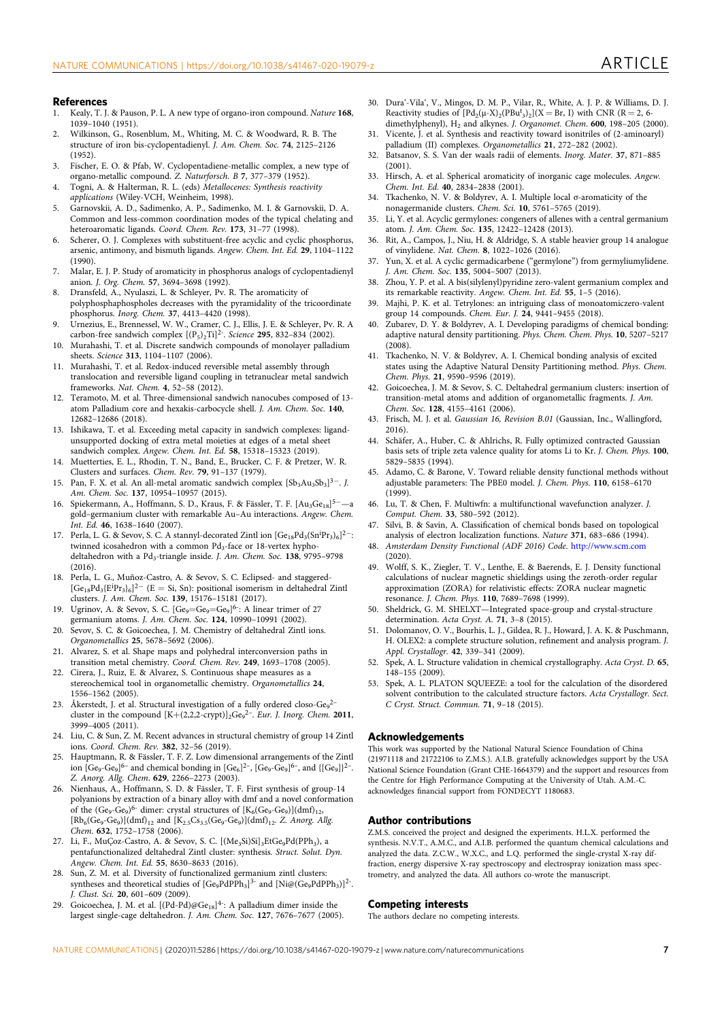#### References

- 1. Kealy, T. J. & Pauson, P. L. A new type of organo-iron compound. Nature 168, 1039–1040 (1951).
- 2. Wilkinson, G., Rosenblum, M., Whiting, M. C. & Woodward, R. B. The structure of iron bis-cyclopentadienyl. J. Am. Chem. Soc. 74, 2125–2126 (1952).
- 3. Fischer, E. O. & Pfab, W. Cyclopentadiene-metallic complex, a new type of organo-metallic compound. Z. Naturforsch. B 7, 377–379 (1952).
- 4. Togni, A. & Halterman, R. L. (eds) Metallocenes: Synthesis reactivity applications (Wiley-VCH, Weinheim, 1998).
- 5. Garnovskii, A. D., Sadimenko, A. P., Sadimenko, M. I. & Garnovskii, D. A. Common and less-common coordination modes of the typical chelating and heteroaromatic ligands. Coord. Chem. Rev. 173, 31–77 (1998).
- 6. Scherer, O. J. Complexes with substituent-free acyclic and cyclic phosphorus, arsenic, antimony, and bismuth ligands. Angew. Chem. Int. Ed. 29, 1104–1122 (1990).
- 7. Malar, E. J. P. Study of aromaticity in phosphorus analogs of cyclopentadienyl anion. J. Org. Chem. 57, 3694–3698 (1992).
- 8. Dransfeld, A., Nyulaszi, L. & Schleyer, Pv. R. The aromaticity of polyphosphaphospholes decreases with the pyramidality of the tricoordinate phosphorus. Inorg. Chem. 37, 4413–4420 (1998).
- 9. Urnezius, E., Brennessel, W. W., Cramer, C. J., Ellis, J. E. & Schleyer, Pv. R. A carbon-free sandwich complex  $[(P_5)_2$ Ti]<sup>2-</sup>. Science **295**, 832-834 (2002).
- 10. Murahashi, T. et al. Discrete sandwich compounds of monolayer palladium sheets. Science 313, 1104–1107 (2006).
- 11. Murahashi, T. et al. Redox-induced reversible metal assembly through translocation and reversible ligand coupling in tetranuclear metal sandwich frameworks. Nat. Chem. 4, 52–58 (2012).
- 12. Teramoto, M. et al. Three-dimensional sandwich nanocubes composed of 13 atom Palladium core and hexakis-carbocycle shell. J. Am. Chem. Soc. 140, 12682–12686 (2018).
- 13. Ishikawa, T. et al. Exceeding metal capacity in sandwich complexes: ligandunsupported docking of extra metal moieties at edges of a metal sheet sandwich complex. Angew. Chem. Int. Ed. 58, 15318–15323 (2019).
- 14. Muetterties, E. L., Rhodin, T. N., Band, E., Brucker, C. F. & Pretzer, W. R. Clusters and surfaces. Chem. Rev. 79, 91–137 (1979).
- 15. Pan, F. X. et al. An all-metal aromatic sandwich complex  $[Sb<sub>3</sub>Au<sub>3</sub>Sb<sub>3</sub>]$ <sup>3-</sup>. J. Am. Chem. Soc. 137, 10954–10957 (2015).
- 16. Spiekermann, A., Hoffmann, S. D., Kraus, F. & Fässler, T. F. [Au3Ge18]5<sup>−</sup>—a gold–germanium cluster with remarkable Au–Au interactions. Angew. Chem. Int. Ed. 46, 1638–1640 (2007).
- 17. Perla, L. G. & Sevov, S. C. A stannyl-decorated Zintl ion [Ge<sub>18</sub>Pd<sub>3</sub>(Sn<sup>ip</sup>r<sub>3)6</sub>]<sup>2−</sup>: twinned icosahedron with a common Pd<sub>3</sub>-face or 18-vertex hyphodeltahedron with a Pd<sub>3</sub>-triangle inside. J. Am. Chem. Soc. 138, 9795-9798 (2016).
- 18. Perla, L. G., Muñoz-Castro, A. & Sevov, S. C. Eclipsed- and staggered- [Ge<sub>18</sub>Pd<sub>3</sub>{E<sup>ip</sup>r<sub>3</sub>}<sub>6</sub>]<sup>2−</sup> (E = Si, Sn): positional isomerism in deltahedral Zintl clusters. J. Am. Chem. Soc. 139, 15176–15181 (2017).
- 19. Ugrinov, A. & Sevov, S. C.  $[Ge_9=Ge_9=Ge_9]^{6}$ : A linear trimer of 27 germanium atoms. J. Am. Chem. Soc. 124, 10990-10991 (2002).
- 20. Sevov, S. C. & Goicoechea, J. M. Chemistry of deltahedral Zintl ions. Organometallics 25, 5678–5692 (2006).
- 21. Alvarez, S. et al. Shape maps and polyhedral interconversion paths in transition metal chemistry. Coord. Chem. Rev. 249, 1693–1708 (2005).
- 22. Cirera, J., Ruiz, E. & Alvarez, S. Continuous shape measures as a stereochemical tool in organometallic chemistry. Organometallics 24, 1556–1562 (2005).
- 23. Åkerstedt, J. et al. Structural investigation of a fully ordered closo-Ge $_{9}^{2-}$ cluster in the compound  $[K+(2,2,2-\text{crypt})]_2\text{Ge}_9{}^{2-}$ . Eur. J. Inorg. Chem. 2011, 3999–4005 (2011).
- 24. Liu, C. & Sun, Z. M. Recent advances in structural chemistry of group 14 Zintl ions. Coord. Chem. Rev. 382, 32–56 (2019).
- 25. Hauptmann, R. & Fässler, T. F. Z. Low dimensional arrangements of the Zintl ion  $[Ge_9-Ge_9]^{6-}$  and chemical bonding in  $[Ge_6]^{2-}$ ,  $[Ge_9-Ge_9]^{6-}$ , and  $\{[Ge_9]\}^{2-}$ . Z. Anorg. Allg. Chem. 629, 2266–2273 (2003).
- 26. Nienhaus, A., Hoffmann, S. D. & Fässler, T. F. First synthesis of group-14 polyanions by extraction of a binary alloy with dmf and a novel conformation of the  $(Ge_9-Ge_9)^6$ - dimer: crystal structures of  $[K_6(Ge_9-Ge_9)](dmf)_{12}$ ,  $[\mathrm{Rb}_6(\mathrm{Ge}_9\text{-}\mathrm{Ge}_9)](\mathrm{dmf})_{12}$  and  $[\mathrm{K}_{2.5}\mathrm{Cs}_{3.5}(\mathrm{Ge}_9\text{-}\mathrm{Ge}_9)](\mathrm{dmf})_{12}$  Z. Anorg. Allg. Chem. 632, 1752–1758 (2006).
- 27. Li, F., MuÇoz-Castro, A. & Sevov, S. C. [(Me<sub>3</sub>Si)Si]<sub>3</sub>EtGe<sub>9</sub>Pd(PPh<sub>3</sub>), a pentafunctionalized deltahedral Zintl cluster: synthesis. Struct. Solut. Dyn. Angew. Chem. Int. Ed. 55, 8630–8633 (2016).
- Sun, Z. M. et al. Diversity of functionalized germanium zintl clusters: syntheses and theoretical studies of  $[Ge_9PdPPh_3]$ <sup>3-</sup> and  $[Ni@(Ge_9PdPPh_3)]^2$ . J. Clust. Sci. 20, 601–609 (2009).
- 29. Goicoechea, J. M. et al.  $[(Pd-Pd)@Ge_{18}]^{4}$ : A palladium dimer inside the largest single-cage deltahedron. J. Am. Chem. Soc. 127, 7676–7677 (2005).
- 30. Dura'-Vila', V., Mingos, D. M. P., Vilar, R., White, A. J. P. & Williams, D. J. Reactivity studies of  $[{\rm Pd}_2(\mu-X)_2({\rm PBu^t_3})_2](X=Br, I)$  with CNR (R = 2, 6dimethylphenyl),  $H_2$  and alkynes. J. Organomet. Chem. 600, 198-205 (2000).
- 31. Vicente, J. et al. Synthesis and reactivity toward isonitriles of (2-aminoaryl) palladium (II) complexes. Organometallics 21, 272–282 (2002).
- 32. Batsanov, S. S. Van der waals radii of elements. Inorg. Mater. 37, 871–885 (2001).
- 33. Hirsch, A. et al. Spherical aromaticity of inorganic cage molecules. Angew. Chem. Int. Ed. 40, 2834–2838 (2001).
- 34. Tkachenko, N. V. & Boldyrev, A. I. Multiple local σ-aromaticity of the nonagermanide clusters. Chem. Sci. 10, 5761–5765 (2019).
- 35. Li, Y. et al. Acyclic germylones: congeners of allenes with a central germanium atom. J. Am. Chem. Soc. 135, 12422–12428 (2013).
- 36. Rit, A., Campos, J., Niu, H. & Aldridge, S. A stable heavier group 14 analogue of vinylidene. Nat. Chem. 8, 1022–1026 (2016).
- 37. Yun, X. et al. A cyclic germadicarbene ("germylone") from germyliumylidene. J. Am. Chem. Soc. 135, 5004–5007 (2013).
- 38. Zhou, Y. P. et al. A bis(silylenyl)pyridine zero-valent germanium complex and its remarkable reactivity. Angew. Chem. Int. Ed. 55, 1–5 (2016).
- 39. Majhi, P. K. et al. Tetrylones: an intriguing class of monoatomiczero-valent group 14 compounds. Chem. Eur. J. 24, 9441–9455 (2018).
- 40. Zubarev, D. Y. & Boldyrev, A. I. Developing paradigms of chemical bonding: adaptive natural density partitioning. Phys. Chem. Chem. Phys. 10, 5207–5217 (2008).
- 41. Tkachenko, N. V. & Boldyrev, A. I. Chemical bonding analysis of excited states using the Adaptive Natural Density Partitioning method. Phys. Chem. Chem. Phys. 21, 9590–9596 (2019).
- 42. Goicoechea, J. M. & Sevov, S. C. Deltahedral germanium clusters: insertion of transition-metal atoms and addition of organometallic fragments. J. Am. Chem. Soc. 128, 4155–4161 (2006).
- 43. Frisch, M. J. et al. Gaussian 16, Revision B.01 (Gaussian, Inc., Wallingford, 2016).
- 44. Schäfer, A., Huber, C. & Ahlrichs, R. Fully optimized contracted Gaussian basis sets of triple zeta valence quality for atoms Li to Kr. J. Chem. Phys. 100, 5829–5835 (1994).
- 45. Adamo, C. & Barone, V. Toward reliable density functional methods without adjustable parameters: The PBE0 model. J. Chem. Phys. 110, 6158–6170  $(1999)$
- 46. Lu, T. & Chen, F. Multiwfn: a multifunctional wavefunction analyzer. J. Comput. Chem. 33, 580–592 (2012).
- 47. Silvi, B. & Savin, A. Classification of chemical bonds based on topological analysis of electron localization functions. Nature 371, 683–686 (1994).
- 48. Amsterdam Density Functional (ADF 2016) Code. http://www.scm.com (2020).
- 49. Wolff, S. K., Ziegler, T. V., Lenthe, E. & Baerends, E. J. Density functional calculations of nuclear magnetic shieldings using the zeroth-order regular approximation (ZORA) for relativistic effects: ZORA nuclear magnetic resonance. J. Chem. Phys. 110, 7689–7698 (1999).
- 50. Sheldrick, G. M. SHELXT—Integrated space-group and crystal-structure determination. Acta Cryst. A. 71, 3–8 (2015).
- 51. Dolomanov, O. V., Bourhis, L. J., Gildea, R. J., Howard, J. A. K. & Puschmann, H. OLEX2: a complete structure solution, refinement and analysis program. J. Appl. Crystallogr. 42, 339–341 (2009).
- 52. Spek, A. L. Structure validation in chemical crystallography. Acta Cryst. D. 65, 148–155 (2009).
- 53. Spek, A. L. PLATON SQUEEZE: a tool for the calculation of the disordered solvent contribution to the calculated structure factors. Acta Crystallogr. Sect. C Cryst. Struct. Commun. 71, 9–18 (2015).

#### Acknowledgements

This work was supported by the National Natural Science Foundation of China (21971118 and 21722106 to Z.M.S.). A.I.B. gratefully acknowledges support by the USA National Science Foundation (Grant CHE-1664379) and the support and resources from the Centre for High Performance Computing at the University of Utah. A.M.-C. acknowledges financial support from FONDECYT 1180683.

#### Author contributions

Z.M.S. conceived the project and designed the experiments. H.L.X. performed the synthesis. N.V.T., A.M.C., and A.I.B. performed the quantum chemical calculations and analyzed the data. Z.C.W., W.X.C., and L.Q. performed the single-crystal X-ray diffraction, energy dispersive X-ray spectroscopy and electrospray ionization mass spectrometry, and analyzed the data. All authors co-wrote the manuscript.

### Competing interests

The authors declare no competing interests.